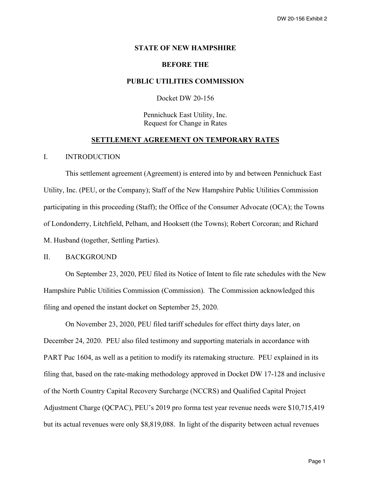#### **STATE OF NEW HAMPSHIRE**

# **BEFORE THE**

# **PUBLIC UTILITIES COMMISSION**

Docket DW 20-156

Pennichuck East Utility, Inc. Request for Change in Rates

# **SETTLEMENT AGREEMENT ON TEMPORARY RATES**

#### I. INTRODUCTION

This settlement agreement (Agreement) is entered into by and between Pennichuck East Utility, Inc. (PEU, or the Company); Staff of the New Hampshire Public Utilities Commission participating in this proceeding (Staff); the Office of the Consumer Advocate (OCA); the Towns of Londonderry, Litchfield, Pelham, and Hooksett (the Towns); Robert Corcoran; and Richard M. Husband (together, Settling Parties).

# II. BACKGROUND

On September 23, 2020, PEU filed its Notice of Intent to file rate schedules with the New Hampshire Public Utilities Commission (Commission). The Commission acknowledged this filing and opened the instant docket on September 25, 2020.

On November 23, 2020, PEU filed tariff schedules for effect thirty days later, on December 24, 2020. PEU also filed testimony and supporting materials in accordance with PART Puc 1604, as well as a petition to modify its ratemaking structure. PEU explained in its filing that, based on the rate-making methodology approved in Docket DW 17-128 and inclusive of the North Country Capital Recovery Surcharge (NCCRS) and Qualified Capital Project Adjustment Charge (QCPAC), PEU's 2019 pro forma test year revenue needs were \$10,715,419 but its actual revenues were only \$8,819,088. In light of the disparity between actual revenues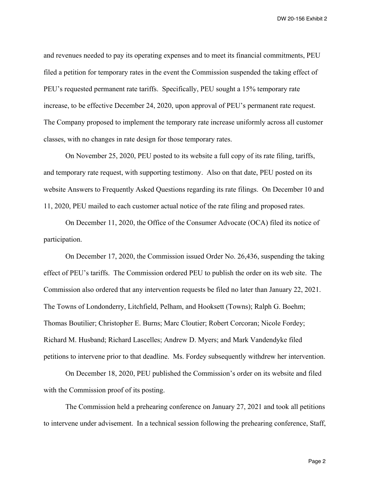and revenues needed to pay its operating expenses and to meet its financial commitments, PEU filed a petition for temporary rates in the event the Commission suspended the taking effect of PEU's requested permanent rate tariffs. Specifically, PEU sought a 15% temporary rate increase, to be effective December 24, 2020, upon approval of PEU's permanent rate request. The Company proposed to implement the temporary rate increase uniformly across all customer classes, with no changes in rate design for those temporary rates.

On November 25, 2020, PEU posted to its website a full copy of its rate filing, tariffs, and temporary rate request, with supporting testimony. Also on that date, PEU posted on its website Answers to Frequently Asked Questions regarding its rate filings. On December 10 and 11, 2020, PEU mailed to each customer actual notice of the rate filing and proposed rates.

On December 11, 2020, the Office of the Consumer Advocate (OCA) filed its notice of participation.

On December 17, 2020, the Commission issued Order No. 26,436, suspending the taking effect of PEU's tariffs. The Commission ordered PEU to publish the order on its web site. The Commission also ordered that any intervention requests be filed no later than January 22, 2021. The Towns of Londonderry, Litchfield, Pelham, and Hooksett (Towns); Ralph G. Boehm; Thomas Boutilier; Christopher E. Burns; Marc Cloutier; Robert Corcoran; Nicole Fordey; Richard M. Husband; Richard Lascelles; Andrew D. Myers; and Mark Vandendyke filed petitions to intervene prior to that deadline. Ms. Fordey subsequently withdrew her intervention.

On December 18, 2020, PEU published the Commission's order on its website and filed with the Commission proof of its posting.

The Commission held a prehearing conference on January 27, 2021 and took all petitions to intervene under advisement. In a technical session following the prehearing conference, Staff,

Page 2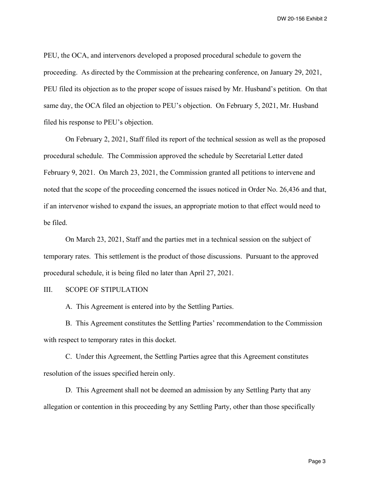PEU, the OCA, and intervenors developed a proposed procedural schedule to govern the proceeding. As directed by the Commission at the prehearing conference, on January 29, 2021, PEU filed its objection as to the proper scope of issues raised by Mr. Husband's petition. On that same day, the OCA filed an objection to PEU's objection. On February 5, 2021, Mr. Husband filed his response to PEU's objection.

On February 2, 2021, Staff filed its report of the technical session as well as the proposed procedural schedule. The Commission approved the schedule by Secretarial Letter dated February 9, 2021. On March 23, 2021, the Commission granted all petitions to intervene and noted that the scope of the proceeding concerned the issues noticed in Order No. 26,436 and that, if an intervenor wished to expand the issues, an appropriate motion to that effect would need to be filed.

On March 23, 2021, Staff and the parties met in a technical session on the subject of temporary rates. This settlement is the product of those discussions. Pursuant to the approved procedural schedule, it is being filed no later than April 27, 2021.

# III. SCOPE OF STIPULATION

A. This Agreement is entered into by the Settling Parties.

B. This Agreement constitutes the Settling Parties' recommendation to the Commission with respect to temporary rates in this docket.

C. Under this Agreement, the Settling Parties agree that this Agreement constitutes resolution of the issues specified herein only.

D. This Agreement shall not be deemed an admission by any Settling Party that any allegation or contention in this proceeding by any Settling Party, other than those specifically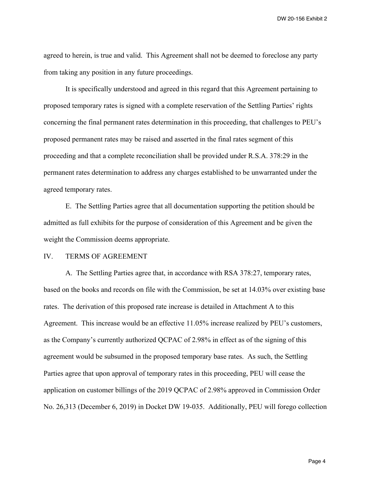agreed to herein, is true and valid. This Agreement shall not be deemed to foreclose any party from taking any position in any future proceedings.

It is specifically understood and agreed in this regard that this Agreement pertaining to proposed temporary rates is signed with a complete reservation of the Settling Parties' rights concerning the final permanent rates determination in this proceeding, that challenges to PEU's proposed permanent rates may be raised and asserted in the final rates segment of this proceeding and that a complete reconciliation shall be provided under R.S.A. 378:29 in the permanent rates determination to address any charges established to be unwarranted under the agreed temporary rates.

E. The Settling Parties agree that all documentation supporting the petition should be admitted as full exhibits for the purpose of consideration of this Agreement and be given the weight the Commission deems appropriate.

#### IV. TERMS OF AGREEMENT

A. The Settling Parties agree that, in accordance with RSA 378:27, temporary rates, based on the books and records on file with the Commission, be set at 14.03% over existing base rates. The derivation of this proposed rate increase is detailed in Attachment A to this Agreement. This increase would be an effective 11.05% increase realized by PEU's customers, as the Company's currently authorized QCPAC of 2.98% in effect as of the signing of this agreement would be subsumed in the proposed temporary base rates. As such, the Settling Parties agree that upon approval of temporary rates in this proceeding, PEU will cease the application on customer billings of the 2019 QCPAC of 2.98% approved in Commission Order No. 26,313 (December 6, 2019) in Docket DW 19-035. Additionally, PEU will forego collection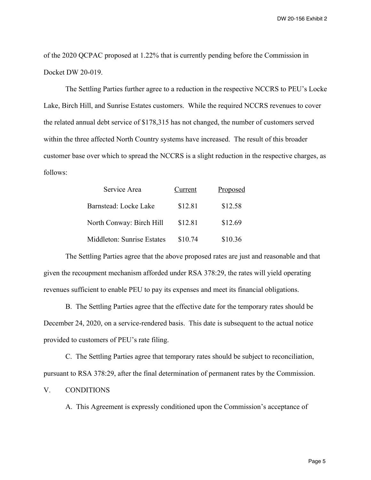of the 2020 QCPAC proposed at 1.22% that is currently pending before the Commission in Docket DW 20-019.

The Settling Parties further agree to a reduction in the respective NCCRS to PEU's Locke Lake, Birch Hill, and Sunrise Estates customers. While the required NCCRS revenues to cover the related annual debt service of \$178,315 has not changed, the number of customers served within the three affected North Country systems have increased. The result of this broader customer base over which to spread the NCCRS is a slight reduction in the respective charges, as follows:

| Service Area               | Current | Proposed |
|----------------------------|---------|----------|
| Barnstead: Locke Lake      | \$12.81 | \$12.58  |
| North Conway: Birch Hill   | \$12.81 | \$12.69  |
| Middleton: Sunrise Estates | \$10.74 | \$10.36  |

The Settling Parties agree that the above proposed rates are just and reasonable and that given the recoupment mechanism afforded under RSA 378:29, the rates will yield operating revenues sufficient to enable PEU to pay its expenses and meet its financial obligations.

B. The Settling Parties agree that the effective date for the temporary rates should be December 24, 2020, on a service-rendered basis. This date is subsequent to the actual notice provided to customers of PEU's rate filing.

C. The Settling Parties agree that temporary rates should be subject to reconciliation, pursuant to RSA 378:29, after the final determination of permanent rates by the Commission.

# V. CONDITIONS

A. This Agreement is expressly conditioned upon the Commission's acceptance of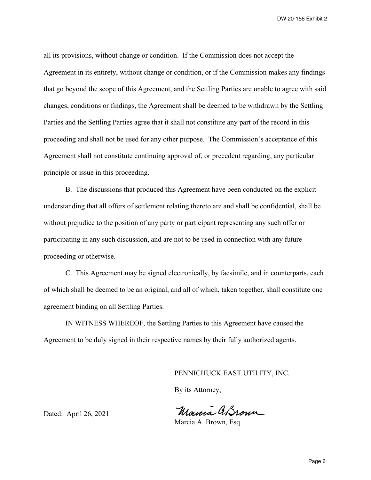all its provisions, without change or condition. If the Commission does not accept the Agreement in its entirety, without change or condition, or if the Commission makes any findings that go beyond the scope of this Agreement, and the Settling Parties are unable to agree with said changes, conditions or findings, the Agreement shall be deemed to be withdrawn by the Settling Parties and the Settling Parties agree that it shall not constitute any part of the record in this proceeding and shall not be used for any other purpose. The Commission's acceptance of this Agreement shall not constitute continuing approval of, or precedent regarding, any particular principle or issue in this proceeding.

B. The discussions that produced this Agreement have been conducted on the explicit understanding that all offers of settlement relating thereto are and shall be confidential, shall be without prejudice to the position of any party or participant representing any such offer or participating in any such discussion, and are not to be used in connection with any future proceeding or otherwise.

C. This Agreement may be signed electronically, by facsimile, and in counterparts, each of which shall be deemed to be an original, and all of which, taken together, shall constitute one agreement binding on all Settling Parties.

IN WITNESS WHEREOF, the Settling Parties to this Agreement have caused the Agreement to be duly signed in their respective names by their fully authorized agents.

PENNICHUCK EAST UTILITY, INC.

By its Attorney,

Mouria ABroun

Dated: April 26, 2021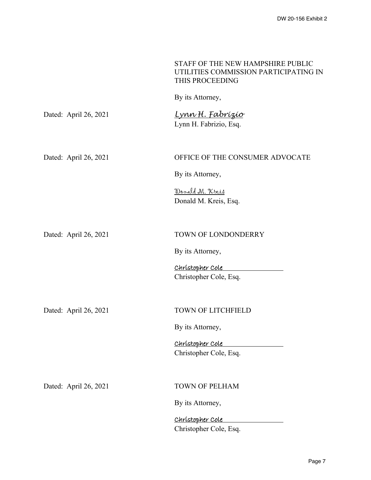|                       | STAFF OF THE NEW HAMPSHIRE PUBLIC<br>UTILITIES COMMISSION PARTICIPATING IN<br>THIS PROCEEDING |
|-----------------------|-----------------------------------------------------------------------------------------------|
|                       | By its Attorney,                                                                              |
| Dated: April 26, 2021 | <u>Lynn H. Fabrízío</u><br>Lynn H. Fabrizio, Esq.                                             |
| Dated: April 26, 2021 | OFFICE OF THE CONSUMER ADVOCATE                                                               |
|                       | By its Attorney,                                                                              |
|                       | <u>Donald M. Kreis</u><br>Donald M. Kreis, Esq.                                               |
| Dated: April 26, 2021 | TOWN OF LONDONDERRY                                                                           |
|                       | By its Attorney,                                                                              |
|                       | Christopher Cole<br>Christopher Cole, Esq.                                                    |
| Dated: April 26, 2021 | <b>TOWN OF LITCHFIELD</b>                                                                     |
|                       | By its Attorney,                                                                              |
|                       | Christopher Cole<br>Christopher Cole, Esq.                                                    |
| Dated: April 26, 2021 | <b>TOWN OF PELHAM</b>                                                                         |
|                       | By its Attorney,                                                                              |
|                       | Christopher Cole                                                                              |
|                       | Christopher Cole, Esq.                                                                        |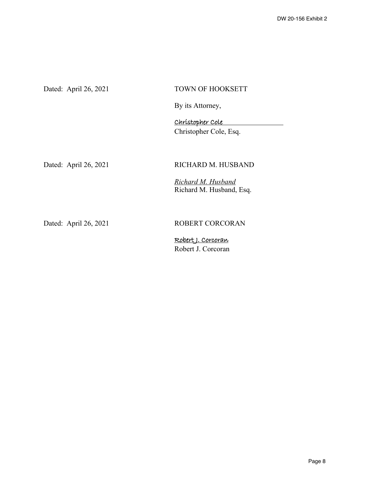| Dated: April 26, 2021 | <b>TOWN OF HOOKSETT</b>                        |
|-----------------------|------------------------------------------------|
|                       | By its Attorney,                               |
|                       | Christopher Cole                               |
|                       | Christopher Cole, Esq.                         |
|                       |                                                |
| Dated: April 26, 2021 | RICHARD M. HUSBAND                             |
|                       | Richard M. Husband<br>Richard M. Husband, Esq. |
|                       |                                                |
| Dated: April 26, 2021 | ROBERT CORCORAN                                |
|                       | <u>Robert J. Corcoran</u>                      |

Robert J. Corcoran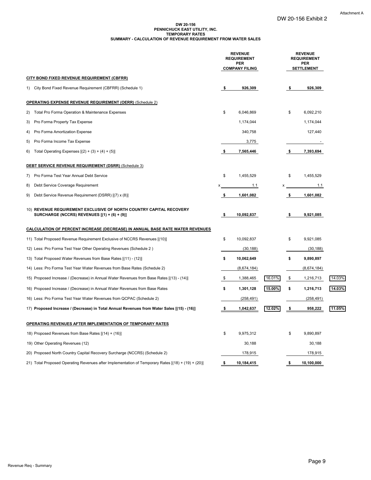#### **DW 20-156 PENNICHUCK EAST UTILITY, INC. SUMMARY - CALCULATION OF REVENUE REQUIREMENT FROM WATER SALES TEMPORARY RATES**

|    |                                                                                                                     |     | <b>REVENUE</b><br><b>REQUIREMENT</b><br><b>PER</b><br><b>COMPANY FILING</b> |        |      | <b>REVENUE</b><br><b>REQUIREMENT</b><br>PER<br><b>SETTLEMENT</b> |        |
|----|---------------------------------------------------------------------------------------------------------------------|-----|-----------------------------------------------------------------------------|--------|------|------------------------------------------------------------------|--------|
|    | CITY BOND FIXED REVENUE REQUIREMENT (CBFRR)                                                                         |     |                                                                             |        |      |                                                                  |        |
|    | 1) City Bond Fixed Revenue Requirement (CBFRR) (Schedule 1)                                                         | \$  | 926,309                                                                     |        | -\$  | 926,309                                                          |        |
|    | <b>OPERATING EXPENSE REVENUE REQUIREMENT (OERR)</b> (Schedule 2)                                                    |     |                                                                             |        |      |                                                                  |        |
| 2) | Total Pro Forma Operation & Maintenance Expenses                                                                    | \$  | 6,046,869                                                                   |        | \$   | 6,092,210                                                        |        |
| 3) | Pro Forma Property Tax Expense                                                                                      |     | 1,174,044                                                                   |        |      | 1,174,044                                                        |        |
| 4) | Pro Forma Amortization Expense                                                                                      |     | 340,758                                                                     |        |      | 127,440                                                          |        |
| 5) | Pro Forma Income Tax Expense                                                                                        |     | 3,775                                                                       |        |      |                                                                  |        |
| 6) | Total Operating Expenses $[(2) + (3) + (4) + (5)]$                                                                  | -\$ | 7,565,446                                                                   |        | - \$ | 7,393,694                                                        |        |
|    | <b>DEBT SERVICE REVENUE REQUIREMENT (DSRR) (Schedule 3)</b>                                                         |     |                                                                             |        |      |                                                                  |        |
| 7) | Pro Forma Test Year Annual Debt Service                                                                             | \$  | 1,455,529                                                                   |        | \$   | 1,455,529                                                        |        |
| 8) | Debt Service Coverage Requirement                                                                                   | х   | 1.1                                                                         | х      |      | 1.1                                                              |        |
| 9) | Debt Service Revenue Requirement (DSRR) [(7) x (8)]                                                                 | -\$ | 1,601,082                                                                   |        | -\$  | 1,601,082                                                        |        |
|    | 10) REVENUE REQUIREMENT EXCLUSIVE OF NORTH COUNTRY CAPITAL RECOVERY<br>SURCHARGE (NCCRS) REVENUES [(1) + (6) + (9)] | \$  | 10,092,837                                                                  |        | Ş.   | 9,921,085                                                        |        |
|    | <b>CALCULATION OF PERCENT INCREASE (DECREASE) IN ANNUAL BASE RATE WATER REVENUES</b>                                |     |                                                                             |        |      |                                                                  |        |
|    | 11) Total Proposed Revenue Requirement Exclusive of NCCRS Revenues [(10)]                                           | \$  | 10,092,837                                                                  |        | \$   | 9,921,085                                                        |        |
|    | 12) Less: Pro Forma Test Year Other Operating Revenues (Schedule 2)                                                 |     | (30, 188)                                                                   |        |      | (30, 188)                                                        |        |
|    | 13) Total Proposed Water Revenues from Base Rates [(11) - (12)]                                                     | \$  | 10,062,649                                                                  |        | \$   | 9,890,897                                                        |        |
|    | 14) Less: Pro Forma Test Year Water Revenues from Base Rates (Schedule 2)                                           |     | (8,674,184)                                                                 |        |      | (8,674,184)                                                      |        |
|    | 15) Proposed Increase / (Decrease) in Annual Water Revenues from Base Rates [(13) - (14)]                           | \$  | 1,388,465                                                                   | 16.01% | \$   | 1,216,713                                                        | 14.03% |
|    | 16) Proposed Increase / (Decrease) in Annual Water Revenues from Base Rates                                         | \$  | 1,301,128                                                                   | 15.00% | \$   | 1,216,713                                                        | 14.03% |
|    | 16) Less: Pro Forma Test Year Water Revenues from QCPAC (Schedule 2)                                                |     | (258, 491)                                                                  |        |      | (258, 491)                                                       |        |
|    | 17) Proposed Increase / (Decrease) in Total Annual Revenues from Water Sales [(15) - (16)]                          | \$  | 1,042,637                                                                   | 12.02% | \$   | 958,222                                                          | 11.05% |
|    | OPERATING REVENUES AFTER IMPLEMENTATION OF TEMPORARY RATES                                                          |     |                                                                             |        |      |                                                                  |        |
|    | 18) Proposed Revenues from Base Rates [(14) + (16)]                                                                 | \$  | 9,975,312                                                                   |        | \$   | 9,890,897                                                        |        |
|    | 19) Other Operating Revenues (12)                                                                                   |     | 30,188                                                                      |        |      | 30,188                                                           |        |
|    | 20) Proposed North Country Capital Recovery Surcharge (NCCRS) (Schedule 2)                                          |     | 178,915                                                                     |        |      | 178,915                                                          |        |
|    | 21) Total Proposed Operating Revenues after Implementation of Temporary Rates [(18) + (19) + (20)]                  | \$  | 10,184,415                                                                  |        | \$   | 10,100,000                                                       |        |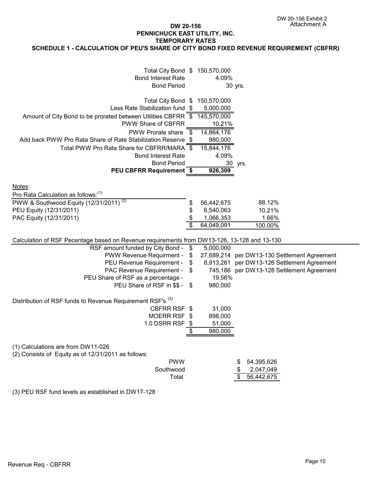## **DW 20-156 PENNICHUCK EAST UTILITY, INC. SCHEDULE 1 - CALCULATION OF PEU'S SHARE OF CITY BOND FIXED REVENUE REQUIREMENT (CBFRR) TEMPORARY RATES**

| Total City Bond \$ 150,570,000<br><b>Bond Interest Rate</b><br><b>Bond Period</b>                                                            |                                 | 4.09%                                             | 30 yrs.                                      |  |
|----------------------------------------------------------------------------------------------------------------------------------------------|---------------------------------|---------------------------------------------------|----------------------------------------------|--|
| Total City Bond \$<br>Less Rate Stabilization fund \$<br>Amount of City Bond to be prorated between Utilities CBFRR \$<br>PWW Share of CBFRR |                                 | 150,570,000<br>5,000,000<br>145,570,000<br>10.21% |                                              |  |
| <b>PWW Prorate share</b><br>Add back PWW Pro Rata Share of Rate Stabilization Reserve \$<br>Total PWW Pro Rata Share for CBFRR/MARA          | $\overline{\mathcal{S}}$<br>-\$ | 14,864,176<br>980,000<br>15,844,176               |                                              |  |
| <b>Bond Interest Rate</b><br><b>Bond Period</b><br><b>PEU CBFRR Requirement \$</b>                                                           |                                 | 4.09%<br>926,309                                  | 30 yrs.                                      |  |
| Notes:<br>Pro Rata Calculation as follows: <sup>(1)</sup>                                                                                    |                                 |                                                   |                                              |  |
| PWW & Southwood Equity (12/31/2011) <sup>(2)</sup>                                                                                           | \$                              | 56,442,675                                        | 88.12%                                       |  |
| PEU Equity (12/31/2011)                                                                                                                      | \$                              | 6,540,063                                         | 10.21%                                       |  |
| PAC Equity (12/31/2011)                                                                                                                      |                                 | 1,066,353                                         | 1.66%                                        |  |
|                                                                                                                                              |                                 | 64,049,091                                        | 100.00%                                      |  |
| Calculation of RSF Pecentage based on Revenue requirements from DW13-126, 13-128 and 13-130                                                  |                                 |                                                   |                                              |  |
| RSF amount funded by City Bond -                                                                                                             | \$                              | 5,000,000                                         |                                              |  |
| PWW Revenue Requirment -                                                                                                                     | \$                              |                                                   | 27,689,214 per DW13-130 Settlement Agreement |  |
| PEU Revenue Requirement -                                                                                                                    | \$                              |                                                   | 6,913,261 per DW13-126 Settlement Agreement  |  |
| PAC Revenue Requirement -                                                                                                                    | $\boldsymbol{\mathsf{\$}}$      |                                                   | 745,186 per DW13-128 Settlement Agreement    |  |
| PEU Share of RSF as a percentage -                                                                                                           |                                 | 19.56%                                            |                                              |  |
| PEU Share of RSF in \$\$ - \$                                                                                                                |                                 | 980,000                                           |                                              |  |
| Distribution of RSF funds to Revenue Requirement RSF's <sup>(3)</sup>                                                                        |                                 |                                                   |                                              |  |
| CBFRR RSF \$                                                                                                                                 |                                 | 31,000                                            |                                              |  |
| MOERR RSF \$                                                                                                                                 |                                 | 898,000                                           |                                              |  |
| 1.0 DSRR RSF \$                                                                                                                              |                                 | 51,000                                            |                                              |  |
|                                                                                                                                              | \$                              | 980,000                                           |                                              |  |
| (1) Calculations are from DW11-026<br>(2) Consists of Equity as of 12/31/2011 as follows:                                                    |                                 |                                                   |                                              |  |
| <b>PWW</b>                                                                                                                                   |                                 |                                                   | 54,395,626<br>\$                             |  |
| Southwood                                                                                                                                    |                                 |                                                   | 2,047,049                                    |  |
| Total                                                                                                                                        |                                 |                                                   | 56,442,675<br>\$                             |  |
| (3) PEU RSF fund levels as established in DW17-128                                                                                           |                                 |                                                   |                                              |  |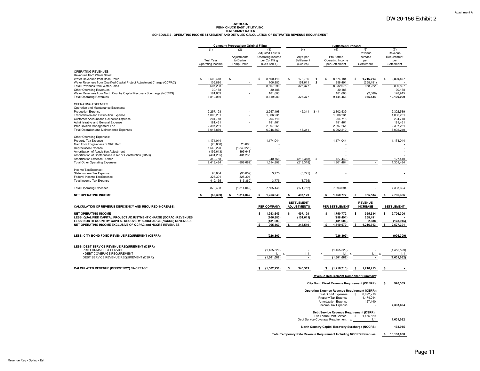#### **DW 20-156 PENNICHUCK EAST UTILITY, INC.** TEMPORARY RATES<br>SCHEDULE 2 - OPERATING INCOME STATEMENT AND DETAILED CALCULATION OF ESTIMATED REVENUE REQUIREMENT

|                                                                                                                                              |                                             | <b>Company Proposal per Original Filing</b>   |                                                                               |                                            |                                                                                                           | <b>Settlement Proposal</b>                      |                                                    |  |  |
|----------------------------------------------------------------------------------------------------------------------------------------------|---------------------------------------------|-----------------------------------------------|-------------------------------------------------------------------------------|--------------------------------------------|-----------------------------------------------------------------------------------------------------------|-------------------------------------------------|----------------------------------------------------|--|--|
|                                                                                                                                              | (1)<br><b>Test Year</b><br>Operating Income | (2)<br>Adjustments<br>to Derive<br>Temp Rates | (3)<br>Adjusted Test Yr<br>Operating Income<br>per Co' Filing<br>(Co's Sch 1) | (4)<br>Adj's per<br>Settlement<br>(Sch 2a) | (5)<br>Pro Forma<br>Operating Income<br>per Settlement                                                    | (6)<br>Revenue<br>Increase<br>per<br>Settlement | (7)<br>Revenue<br>Requirement<br>per<br>Settlement |  |  |
| OPERATING REVENUES<br>Revenues from Water Sales:                                                                                             | $\mathbf{s}$                                |                                               |                                                                               |                                            |                                                                                                           |                                                 | Ś                                                  |  |  |
| Water Revenues from Base Rates<br>Water Revenues from Qualified Capital Project Adjustment Charge (QCPAC)<br>Total Revenues from Water Sales | 8,500,418<br>106,880<br>8,607,298           | \$                                            | 8,500,418<br>s<br>106,880<br>8,607,298                                        | 173,766<br>S<br>151,611<br>325,377         | 8,674,184<br>$\overline{1}$<br>\$<br>258,491<br>$\overline{2}$<br>8,932,675                               | s<br>1,216,713<br>(258, 491)<br>958,222         | 9,890,897<br>9,890,897                             |  |  |
| Other Operating Revenues<br>Water Revenues from North Country Capital Recovery Surcharge (NCCRS)<br><b>Total Operating Revenues</b>          | 30,188<br>181,603<br>8,819,089              |                                               | 30,188<br>181,603<br>8,819,089                                                | 325,377                                    | 30,188<br>181,603<br>9,144,466                                                                            | (2,688)<br>955,534                              | 30,188<br>178,915<br>10,100,000                    |  |  |
| OPERATING EXPENSES                                                                                                                           |                                             |                                               |                                                                               |                                            |                                                                                                           |                                                 |                                                    |  |  |
| Operation and Maintenance Expenses:<br>Production Expense                                                                                    | 2,257,198                                   |                                               | 2,257,198                                                                     | $45,341$ 3 - 4                             | 2,302,539                                                                                                 |                                                 | 2,302,539                                          |  |  |
| Transmission and Distribution Expense                                                                                                        | 1,006,231                                   |                                               | 1,006,231                                                                     |                                            | 1,006,231                                                                                                 |                                                 | 1,006,231                                          |  |  |
| Customer Account and Collection Expense<br>Administrative and General Expense                                                                | 204,718<br>181,461                          |                                               | 204,718<br>181,461                                                            |                                            | 204,718<br>181,461                                                                                        |                                                 | 204,718<br>181,461                                 |  |  |
| Inter-Division Management Fee                                                                                                                | 2,397,261                                   |                                               | 2,397,261                                                                     |                                            | 2,397,261                                                                                                 |                                                 | 2,397,261                                          |  |  |
| Total Operation and Maintenance Expenses                                                                                                     | 6,046,869                                   | $\sim$                                        | 6,046,869                                                                     | 45,341                                     | 6,092,210                                                                                                 |                                                 | 6,092,210                                          |  |  |
| Other Operating Expenses:                                                                                                                    |                                             |                                               |                                                                               |                                            |                                                                                                           |                                                 |                                                    |  |  |
| Property Tax Expense<br>Gain from Forgiveness of SRF Debt                                                                                    | 1,174,044<br>(23,660)                       | 23,660                                        | 1,174,044                                                                     |                                            | 1,174,044                                                                                                 |                                                 | 1,174,044                                          |  |  |
| <b>Depreciation Expense</b>                                                                                                                  | 1,549,220                                   | (1,549,220)                                   |                                                                               |                                            |                                                                                                           |                                                 |                                                    |  |  |
| Amortization of Acquisition Adjustment                                                                                                       | (195, 643)                                  | 195,643                                       |                                                                               |                                            |                                                                                                           |                                                 |                                                    |  |  |
| Amortization of Contributions in Aid of Construction (CIAC)<br>Amortization Expense - Other                                                  | (431, 235)                                  | 431,235                                       | 340.758                                                                       |                                            | 127.440<br>-5                                                                                             |                                                 | 127.440                                            |  |  |
| <b>Total Other Operating Expenses</b>                                                                                                        | 340,758<br>2,413,484                        | (898, 682)                                    | 1,514,802                                                                     | (213, 318)<br>(213, 318)                   | 1,301,484                                                                                                 |                                                 | 1,301,484                                          |  |  |
| Income Tax Expense:<br>State Income Tax Expense                                                                                              | 93,834                                      | (90, 059)                                     | 3,775                                                                         | (3,775)                                    | 6                                                                                                         |                                                 |                                                    |  |  |
| Federal Income Tax Expense                                                                                                                   | 325,301                                     | (325, 301)                                    |                                                                               |                                            |                                                                                                           |                                                 |                                                    |  |  |
| <b>Total Income Tax Expense</b>                                                                                                              | 419,135                                     | (415, 360)                                    | 3,775                                                                         | (3, 775)                                   |                                                                                                           |                                                 |                                                    |  |  |
| <b>Total Operating Expenses</b>                                                                                                              | 8,879,488                                   | (1,314,042)                                   | 7,565,446                                                                     | (171, 752)                                 | 7,393,694                                                                                                 |                                                 | 7,393,694                                          |  |  |
| <b>NET OPERATING INCOME</b>                                                                                                                  | (60, 399)                                   | 1,314,042<br><b>s</b>                         | 1,253,643<br>ŝ                                                                | 497,129                                    | 1,750,772<br>\$                                                                                           | 955,534<br>$\mathbf{s}$                         | 2,706,306<br>\$                                    |  |  |
| CALCULATION OF REVENUE DEFICIENCY AND REQUIRED INCREASE:                                                                                     |                                             |                                               | PER COMPANY                                                                   | <b>SETTLEMENT</b><br><b>ADJUSTMENTS</b>    | PER SETTLEMENT                                                                                            | <b>REVENUE</b><br><b>INCREASE</b>               | <b>SETTLEMENT</b>                                  |  |  |
| <b>NET OPERATING INCOME</b><br>LESS: QUALIFIED CAPITAL PROJECT ADJUSTMENT CHARGE (QCPAC) REVENUES                                            |                                             |                                               | 1,253,643<br>s<br>(106, 880)                                                  | \$<br>497,129<br>(151, 611)                | 1,750,772<br>s<br>(258, 491)                                                                              | s<br>955,534<br>258,491                         | 2,706,306<br>Ŝ                                     |  |  |
| LESS: NORTH COUNTRY CAPITAL RECOVERY SURCHARGE (NCCRS) REVENUES<br>NET OPERATING INCOME EXCLUSIVE OF QCPAC and NCCRS REVENUES                |                                             |                                               | (181, 603)<br>s<br>965,160                                                    | 345,519<br>s                               | (181, 603)<br>1,310,679<br><b>s</b>                                                                       | 2,688<br>-S<br>1,216,713                        | (178, 915)<br>2,527,391<br>\$                      |  |  |
| LESS: CITY BOND FIXED REVENUE REQUIREMENT (CBFRR)                                                                                            |                                             |                                               | (926, 309)                                                                    |                                            | (926, 309)                                                                                                |                                                 | (926, 309)                                         |  |  |
| LESS: DEBT SERVICE REVENUE REQUIREMENT (DSRR)<br>PRO FORMA DEBT SERVICE                                                                      |                                             |                                               | (1,455,529)                                                                   |                                            | (1,455,529)                                                                                               |                                                 | (1,455,529)                                        |  |  |
| x DEBT COVERAGE REQUIREMENT<br>DEBT SERVICE REVENUE REQUIREMENT (DSRR)                                                                       |                                             |                                               | 1.1<br>(1,601,082)                                                            | 1.1                                        | 1.1<br>(1,601,082)                                                                                        | 1.1                                             | 1.1<br>(1,601,082)                                 |  |  |
|                                                                                                                                              |                                             |                                               |                                                                               |                                            |                                                                                                           |                                                 |                                                    |  |  |
| CALCULATED REVENUE (DEFICIENCY) / INCREASE                                                                                                   |                                             |                                               | (1,562,231)<br>\$                                                             | 345,519<br>-S                              | \$(1,216,713)                                                                                             | 1,216,713<br>$\mathbf{s}$                       | \$                                                 |  |  |
|                                                                                                                                              |                                             |                                               |                                                                               |                                            | <b>Revenue Requirement Component Summary:</b>                                                             |                                                 |                                                    |  |  |
|                                                                                                                                              |                                             |                                               |                                                                               |                                            | <b>City Bond Fixed Revenue Requirement (CBFRR):</b>                                                       |                                                 | 926,309<br>\$                                      |  |  |
|                                                                                                                                              |                                             |                                               |                                                                               |                                            | <b>Operating Expense Revenue Requirement (OERR):</b><br>Total O & M Expenses<br>Property Tax Expense      | 6,092,210<br>-S<br>1,174,044                    |                                                    |  |  |
|                                                                                                                                              |                                             |                                               |                                                                               |                                            | Amortization Expense<br>Income Tax Expense                                                                | 127,440                                         | 7,393,694                                          |  |  |
|                                                                                                                                              |                                             |                                               |                                                                               |                                            | Debt Service Revenue Requirement (DSRR):<br>Pro Forma Debt Service<br>Debt Service Coverage Requirement x | 1,455,529<br>-S<br>1.1                          | 1,601,082                                          |  |  |
|                                                                                                                                              |                                             |                                               |                                                                               |                                            | North Country Capital Recovery Surcharge (NCCRS):                                                         |                                                 | 178,915                                            |  |  |

**Total Temporary Rate Revenue Requirement Including NCCRS Revenues: \$ 10,100,000**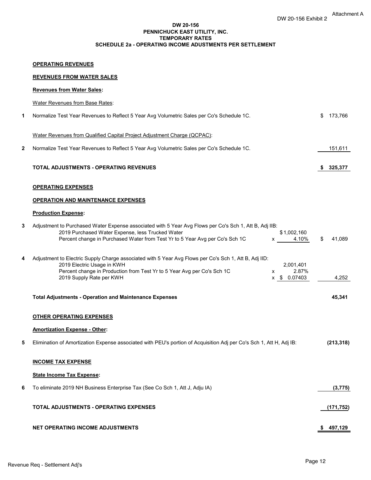#### **DW 20-156 PENNICHUCK EAST UTILITY, INC. TEMPORARY RATES SCHEDULE 2a - OPERATING INCOME ADUSTMENTS PER SETTLEMENT**

#### **REVENUES FROM WATER SALES**

|   | <b>Revenues from Water Sales:</b>                                                                                                                                                                                                                                                                                                                                                                                                                                                                                                                                      |               |
|---|------------------------------------------------------------------------------------------------------------------------------------------------------------------------------------------------------------------------------------------------------------------------------------------------------------------------------------------------------------------------------------------------------------------------------------------------------------------------------------------------------------------------------------------------------------------------|---------------|
|   | <b>Water Revenues from Base Rates:</b>                                                                                                                                                                                                                                                                                                                                                                                                                                                                                                                                 |               |
| 1 | Normalize Test Year Revenues to Reflect 5 Year Avg Volumetric Sales per Co's Schedule 1C.                                                                                                                                                                                                                                                                                                                                                                                                                                                                              | \$<br>173,766 |
|   | Water Revenues from Qualified Capital Project Adjustment Charge (QCPAC):                                                                                                                                                                                                                                                                                                                                                                                                                                                                                               |               |
| 2 | Normalize Test Year Revenues to Reflect 5 Year Avg Volumetric Sales per Co's Schedule 1C.                                                                                                                                                                                                                                                                                                                                                                                                                                                                              | 151,611       |
|   | <b>TOTAL ADJUSTMENTS - OPERATING REVENUES</b>                                                                                                                                                                                                                                                                                                                                                                                                                                                                                                                          | \$325,377     |
|   | <b>OPERATING EXPENSES</b>                                                                                                                                                                                                                                                                                                                                                                                                                                                                                                                                              |               |
|   | <b>OPERATION AND MAINTENANCE EXPENSES</b>                                                                                                                                                                                                                                                                                                                                                                                                                                                                                                                              |               |
|   | <b>Production Expense:</b>                                                                                                                                                                                                                                                                                                                                                                                                                                                                                                                                             |               |
| 3 | Adjustment to Purchased Water Expense associated with 5 Year Avg Flows per Co's Sch 1, Att B, Adj IIB:<br>2019 Purchased Water Expense, less Trucked Water<br>\$1,002,160<br>Percent change in Purchased Water from Test Yr to 5 Year Avg per Co's Sch 1C<br>4.10%<br>$\mathsf{X}$ and $\mathsf{X}$ and $\mathsf{X}$ are $\mathsf{X}$ and $\mathsf{X}$ are $\mathsf{X}$ and $\mathsf{X}$ are $\mathsf{X}$ and $\mathsf{X}$ are $\mathsf{X}$ and $\mathsf{X}$ are $\mathsf{X}$ and $\mathsf{X}$ are $\mathsf{X}$ and $\mathsf{X}$ are $\mathsf{X}$ and $\mathsf{X}$ are | \$<br>41,089  |
| 4 | Adjustment to Electric Supply Charge associated with 5 Year Avg Flows per Co's Sch 1, Att B, Adj IID:<br>2019 Electric Usage in KWH<br>2,001,401<br>Percent change in Production from Test Yr to 5 Year Avg per Co's Sch 1C<br>2.87%<br>x<br>2019 Supply Rate per KWH<br>x \$ 0.07403                                                                                                                                                                                                                                                                                  | 4,252         |
|   | <b>Total Adjustments - Operation and Maintenance Expenses</b>                                                                                                                                                                                                                                                                                                                                                                                                                                                                                                          | 45,341        |
|   | <b>OTHER OPERATING EXPENSES</b>                                                                                                                                                                                                                                                                                                                                                                                                                                                                                                                                        |               |
|   | <b>Amortization Expense - Other:</b>                                                                                                                                                                                                                                                                                                                                                                                                                                                                                                                                   |               |
| 5 | Elimination of Amortization Expense associated with PEU's portion of Acquisition Adj per Co's Sch 1, Att H, Adj IB:                                                                                                                                                                                                                                                                                                                                                                                                                                                    | (213, 318)    |
|   | <b>INCOME TAX EXPENSE</b>                                                                                                                                                                                                                                                                                                                                                                                                                                                                                                                                              |               |
|   | <b>State Income Tax Expense:</b>                                                                                                                                                                                                                                                                                                                                                                                                                                                                                                                                       |               |
| 6 | To eliminate 2019 NH Business Enterprise Tax (See Co Sch 1, Att J, Adju IA)                                                                                                                                                                                                                                                                                                                                                                                                                                                                                            | (3, 775)      |
|   | TOTAL ADJUSTMENTS - OPERATING EXPENSES                                                                                                                                                                                                                                                                                                                                                                                                                                                                                                                                 | (171, 752)    |
|   | <b>NET OPERATING INCOME ADJUSTMENTS</b>                                                                                                                                                                                                                                                                                                                                                                                                                                                                                                                                | \$497,129     |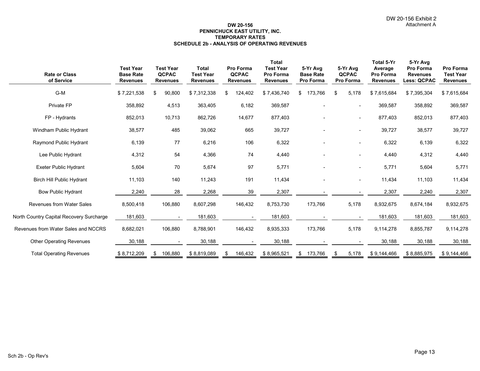#### **DW 20-156 PENNICHUCK EAST UTILITY, INC. SCHEDULE 2b - ANALYSIS OF OPERATING REVENUES TEMPORARY RATES**

| <b>Rate or Class</b><br>of Service       | <b>Test Year</b><br><b>Base Rate</b><br><b>Revenues</b> | <b>Test Year</b><br><b>QCPAC</b><br><b>Revenues</b> | Total<br><b>Test Year</b><br><b>Revenues</b> | Pro Forma<br><b>QCPAC</b><br><b>Revenues</b> | <b>Total</b><br><b>Test Year</b><br>Pro Forma<br><b>Revenues</b> | 5-Yr Avg<br><b>Base Rate</b><br>Pro Forma | 5-Yr Avg<br><b>QCPAC</b><br>Pro Forma | Total 5-Yr<br>Average<br>Pro Forma<br><b>Revenues</b> | 5-Yr Avg<br>Pro Forma<br><b>Revenues</b><br>Less: QCPAC | Pro Forma<br><b>Test Year</b><br><b>Revenues</b> |
|------------------------------------------|---------------------------------------------------------|-----------------------------------------------------|----------------------------------------------|----------------------------------------------|------------------------------------------------------------------|-------------------------------------------|---------------------------------------|-------------------------------------------------------|---------------------------------------------------------|--------------------------------------------------|
| G-M                                      | \$7,221,538                                             | 90,800<br>\$                                        | \$7,312,338                                  | 124,402<br>\$                                | \$7,436,740                                                      | 173,766<br>\$                             | \$<br>5,178                           | \$7,615,684                                           | \$7,395,304                                             | \$7,615,684                                      |
| Private FP                               | 358,892                                                 | 4,513                                               | 363,405                                      | 6,182                                        | 369,587                                                          |                                           | $\overline{\phantom{0}}$              | 369,587                                               | 358,892                                                 | 369,587                                          |
| FP - Hydrants                            | 852,013                                                 | 10,713                                              | 862,726                                      | 14,677                                       | 877,403                                                          |                                           | $\overline{\phantom{a}}$              | 877,403                                               | 852,013                                                 | 877,403                                          |
| Windham Public Hydrant                   | 38,577                                                  | 485                                                 | 39,062                                       | 665                                          | 39,727                                                           |                                           | $\overline{\phantom{a}}$              | 39,727                                                | 38,577                                                  | 39,727                                           |
| Raymond Public Hydrant                   | 6,139                                                   | 77                                                  | 6,216                                        | 106                                          | 6,322                                                            |                                           | $\overline{\phantom{0}}$              | 6,322                                                 | 6,139                                                   | 6,322                                            |
| Lee Public Hydrant                       | 4,312                                                   | 54                                                  | 4,366                                        | 74                                           | 4,440                                                            |                                           | $\overline{\phantom{0}}$              | 4,440                                                 | 4,312                                                   | 4,440                                            |
| <b>Exeter Public Hydrant</b>             | 5,604                                                   | 70                                                  | 5,674                                        | 97                                           | 5.771                                                            |                                           | $\overline{\phantom{0}}$              | 5,771                                                 | 5,604                                                   | 5,771                                            |
| <b>Birch Hill Public Hydrant</b>         | 11,103                                                  | 140                                                 | 11,243                                       | 191                                          | 11,434                                                           |                                           | $\overline{\phantom{a}}$              | 11,434                                                | 11,103                                                  | 11,434                                           |
| <b>Bow Public Hydrant</b>                | 2,240                                                   | 28                                                  | 2,268                                        | 39                                           | 2,307                                                            |                                           |                                       | 2,307                                                 | 2,240                                                   | 2,307                                            |
| <b>Revenues from Water Sales</b>         | 8,500,418                                               | 106,880                                             | 8,607,298                                    | 146,432                                      | 8,753,730                                                        | 173,766                                   | 5,178                                 | 8,932,675                                             | 8,674,184                                               | 8,932,675                                        |
| North Country Capital Recovery Surcharge | 181,603                                                 |                                                     | 181,603                                      |                                              | 181,603                                                          |                                           |                                       | 181,603                                               | 181,603                                                 | 181,603                                          |
| Revenues from Water Sales and NCCRS      | 8,682,021                                               | 106,880                                             | 8,788,901                                    | 146,432                                      | 8,935,333                                                        | 173,766                                   | 5,178                                 | 9,114,278                                             | 8,855,787                                               | 9,114,278                                        |
| <b>Other Operating Revenues</b>          | 30,188                                                  |                                                     | 30,188                                       |                                              | 30,188                                                           |                                           |                                       | 30,188                                                | 30,188                                                  | 30,188                                           |
| <b>Total Operating Revenues</b>          | \$8,712,209                                             | 106,880<br>\$                                       | \$8,819,089                                  | 146,432<br>\$                                | \$8,965,521                                                      | 173,766<br>S.                             | 5,178<br>\$                           | \$9,144,466                                           | \$8,885,975                                             | \$9,144,466                                      |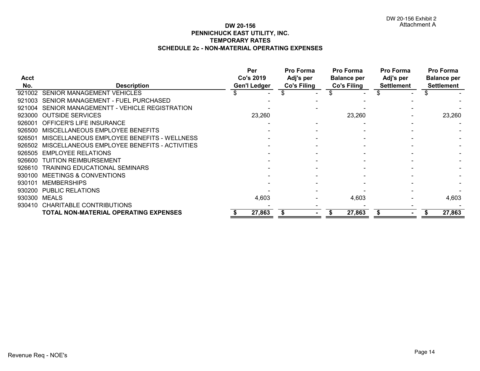## **DW 20-156 PENNICHUCK EAST UTILITY, INC. SCHEDULE 2c - NON-MATERIAL OPERATING EXPENSES TEMPORARY RATES**

|             |                                              | Per                 | Pro Forma   | Pro Forma          | Pro Forma         | Pro Forma          |
|-------------|----------------------------------------------|---------------------|-------------|--------------------|-------------------|--------------------|
| <b>Acct</b> |                                              | Co's 2019           | Adj's per   | <b>Balance per</b> | Adj's per         | <b>Balance per</b> |
| No.         | <b>Description</b>                           | <b>Gen'l Ledger</b> | Co's Filing | Co's Filing        | <b>Settlement</b> | <b>Settlement</b>  |
| 921002      | <b>SENIOR MANAGEMENT VEHICLES</b>            |                     |             |                    |                   |                    |
| 921003      | SENIOR MANAGEMENT - FUEL PURCHASED           |                     |             |                    |                   |                    |
| 921004      | SENIOR MANAGEMENTT - VEHICLE REGISTRATION    |                     |             |                    |                   |                    |
| 923000      | <b>OUTSIDE SERVICES</b>                      | 23,260              |             | 23,260             |                   | 23,260             |
| 926001      | OFFICER'S LIFE INSURANCE                     |                     |             |                    |                   |                    |
| 926500      | MISCELLANEOUS EMPLOYEE BENEFITS              |                     |             |                    |                   |                    |
| 926501      | MISCELLANEOUS EMPLOYEE BENEFITS - WELLNESS   |                     |             |                    |                   |                    |
| 926502      | MISCELLANEOUS EMPLOYEE BENEFITS - ACTIVITIES |                     |             |                    |                   |                    |
| 926505      | <b>EMPLOYEE RELATIONS</b>                    |                     |             |                    |                   |                    |
| 926600      | <b>TUITION REIMBURSEMENT</b>                 |                     |             |                    |                   |                    |
| 926610      | TRAINING EDUCATIONAL SEMINARS                |                     |             |                    |                   |                    |
| 930100      | <b>MEETINGS &amp; CONVENTIONS</b>            |                     |             |                    |                   |                    |
| 930101      | <b>MEMBERSHIPS</b>                           |                     |             |                    |                   |                    |
| 930200      | <b>PUBLIC RELATIONS</b>                      |                     |             |                    |                   |                    |
| 930300      | <b>MEALS</b>                                 | 4,603               |             | 4,603              |                   | 4,603              |
| 930410      | <b>CHARITABLE CONTRIBUTIONS</b>              |                     |             |                    |                   |                    |
|             | TOTAL NON-MATERIAL OPERATING EXPENSES        | 27,863              |             | 27,863             |                   | 27,863             |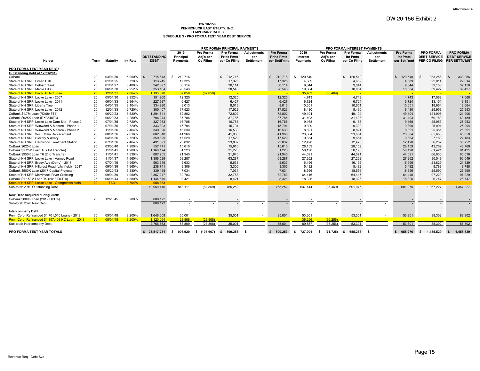# **DW 20-156 PENNICHUCK EAST UTILITY, INC.** TEMPORARY RATES<br>SCHEDULE 3 - PRO FORMA TEST YEAR DEBT SERVICE

|                                                     |                 |            |          |                                                     |               |           | PRO FORMA PRINCIPAL PAYMENTS |                   |                   |                                                   |                  | PRO FORMA INTEREST PAYMENTS |                    |                 |                      |                      |
|-----------------------------------------------------|-----------------|------------|----------|-----------------------------------------------------|---------------|-----------|------------------------------|-------------------|-------------------|---------------------------------------------------|------------------|-----------------------------|--------------------|-----------------|----------------------|----------------------|
|                                                     |                 |            |          |                                                     | 2019          | Pro Forma | Pro Forma                    | Adjustments       | <b>Pro Forma</b>  | 2019                                              | <b>Pro Forma</b> | Pro Forma                   | <b>Adjustments</b> | Pro Forma       | <b>PRO FORMA</b>     | <b>PRO FORMA</b>     |
|                                                     |                 |            |          | <b>OUTSTANDING</b>                                  | Principal     | Adj's per | <b>Princ Pmts</b>            | per               | <b>Princ Pmts</b> | Interest                                          | Adj's per        | Int Pmts                    | per                | <b>Int Pmts</b> | <b>DEBT SERVICE</b>  | <b>DEBT SERVICE</b>  |
| Holder                                              | Term            | Maturity   | Int Rate | <b>DEBT</b>                                         | Payments      | Co Filing | per Co Filing                | <b>Settlement</b> | per Settl'mnt     | Payments                                          | Co Filing        | per Co Filing               | <b>Settlement</b>  | per Settl'mnt   | PER CO FILING        | <b>PER SETTL'MNT</b> |
|                                                     |                 |            |          |                                                     |               |           |                              |                   |                   |                                                   |                  |                             |                    |                 |                      |                      |
| PRO FORMA TEST YEAR DEBT:                           |                 |            |          |                                                     |               |           |                              |                   |                   |                                                   |                  |                             |                    |                 |                      |                      |
| Outstanding Debt at 12/31/2019:                     |                 |            |          |                                                     |               |           |                              |                   |                   |                                                   |                  |                             |                    |                 |                      |                      |
| CoBank                                              | 20              | 03/01/30   | 5.950%   | 2,715,543<br>- \$                                   | 212,716<br>S. |           | 212,716<br>\$.               |                   | 212,716<br>- \$   | 120,540<br>S.                                     |                  | 120,540<br>\$.              |                    | 120,540         | 333,256<br>- \$      | 333,256              |
| State of NH SRF: Green Hills                        | 20              | 01/01/25   | 3.728%   | 113,245                                             | 17,325        |           | 17,325                       |                   | 17,325            | 4,689                                             |                  | 4,689                       |                    | 4,689           | 22,014               | 22,014               |
| State of NH SRF: Pelham Tank                        | 20              | 01/01/27   | 3.488%   | 242,897                                             | 30,114        |           | 30,114                       |                   | 30,114            | 9.044                                             |                  | 9,044                       |                    | 9,044           | 39.158               | 39,158               |
| State of NH SRF: Maple Hills                        | 20              | 06/01/30   | 2.952%   | 353,184                                             | 28,543        |           | 28,543                       |                   | 28,543            | 10,884                                            |                  | 10,884                      |                    | 10,884          | 39,427               | 39,427               |
| State of NH SRF: Birch Hill NC Loan                 | 20              | 12/01/31   | 2.864%   | 1,193,378                                           | 82,859        | (82.859)  |                              |                   |                   | 35,469                                            | (35.469)         |                             |                    |                 |                      |                      |
| State of NH SRF: Locke Lake - 2007                  | 20              | 05/01/30   | 2.952%   | 151.960                                             | 12.325        |           | 12,325                       |                   | 12,325            | 4.743                                             |                  | 4.743                       |                    | 4.743           | 17.068               | 17,068               |
| State of NH SRF: Locke Lake - 2011                  | 20              | 06/01/33   | 2.864%   | 227,937                                             | 6,427         |           | 6,427                        |                   | 6,427             | 6,724                                             |                  | 6,724                       |                    | 6.724           | 13,151               | 13,151               |
| State of NH SRF: Liberty Tree                       | 20              | 04/01/35   | 3.104%   | 334,930                                             | 8.013         |           | 8,013                        |                   | 8,013             | 10,651                                            |                  | 10,651                      |                    | 10,651          | 18.664               | 18,664               |
| State of NH SRF: Locke Lake - 2012                  | 20              | 12/01/33   | 2.720%   | 300.407                                             | 17,523        |           | 17,523                       |                   | 17,523            | 8.430                                             |                  | 8,430                       |                    | 8.430           | 25.953               | 25,953               |
| CoBank \$1.7M Loan (RX0848T4)                       | 10              | 06/20/23   | 3.620%   | 1,294,541                                           | 72,802        |           | 72,802                       |                   | 72,802            | 49,104                                            |                  | 49,104                      |                    | 49,104          | 121,906              | 121,906              |
| CoBank \$925K Loan (RX0848T3)                       | 20              | 06/20/33   | 4.250%   | 706.244                                             | 37,786        |           | 37,786                       |                   | 37,786            | 31,403                                            |                  | 31,403                      |                    | 31,403          | 69,189               | 69,189               |
| State of NH SRF: Locke Lake Dam Site - Phase 2      | 20              | 07/01/35   | 2.720%   | 327,933                                             | 16,785        |           | 16,785                       |                   | 16,785            | 9,168                                             |                  | 9,168                       |                    | 9,168           | 25,953               | 25,953               |
| State of NH SRF: Winwood & Monroe - Phase 1         | 20              | 07/01/36   | 2.720%   | 333,303                                             | 15,794        |           | 15,794                       |                   | 15,794            | 9,300                                             |                  | 9,300                       |                    | 9,300           | 25,094               | 25,094               |
| State of NH SRF: Winwood & Monroe - Phase 2         | 20              | 11/01/36   | 2.464%   | 349.020                                             | 16.530        |           | 16,530                       |                   | 16,530            | 8.821                                             |                  | 8,821                       |                    | 8.821           | 25.351               | 25,351               |
| State of NH SRF: W&E Main Replacement               | 20              | 08/01/36   | 2.616%   | 882,518                                             | 41,966        |           | 41,966                       |                   | 41,966            | 23,684                                            |                  | 23,684                      |                    | 23,684          | 65,650               | 65,650               |
| State of NH SRF: Hickorv & Averv                    | 20              | 04/01/36   | 2.720%   | 359.529                                             | 17.529        |           | 17,529                       |                   | 17,529            | 9.654                                             |                  | 9,654                       |                    | 9,654           | 27,183               | 27,183               |
| State of NH SRF: Hardwood Treatment Station         | 20              | 07/01/36   | 2.464%   | 491,091                                             | 23,832        |           | 23,832                       |                   | 23,832            | 12,420                                            |                  | 12,420                      |                    | 12,420          | 36,252               | 36,252               |
| CoBank \$625K Loan                                  | 25              | 03/06/40   | 4.900%   | 557,471                                             | 15,610        |           | 15,610                       |                   | 15,610            | 28,159                                            |                  | 28,159                      |                    | 28,159          | 43,769               | 43,769               |
| CoBank \$1.25M Loan T6 (1st Tranche)                | 25              | 11/01/41   | 4.200%   | 1,160,174                                           | 31,223        |           | 31,223                       |                   | 31,223            | 50,198                                            |                  | 50,198                      |                    | 50,198          | 81,421               | 81,421               |
| CoBank \$950K Loan T6 (2nd Tranche)                 | 25              | 11/01/41   | 4.830%   | 887,255                                             | 21,945        |           | 21,945                       |                   | 21,945            | 44,091                                            |                  | 44,091                      |                    | 44,091          | 66,036               | 66,036               |
| State of NH SRF: Locke Lake - Varney Road           | 20              | 11/01/37   | 1.960%   | 1,356,529                                           | 63,287        |           | 63,287                       |                   | 63,287            | 27,262                                            |                  | 27,262                      |                    | 27,262          | 90,549               | 90,549               |
| State of NH SRF: Brady Ave (Derry) - 2017           | 30              | 07/01/49   | 1.960%   | 563,319                                             | 5,633         |           | 5,633                        |                   | 5,633             | 16,196                                            |                  | 16,196                      |                    | 16,196          | 21,829               | 21,829               |
| State of NH SRF: Hillcrest Road (Litchfield) - 2017 | 20              | 09/01/39   | 1.960%   | 238,741                                             | 3,306         |           | 3,306                        |                   | 3,306             | 5,482                                             |                  | 5,482                       |                    | 5,482           | 8,788                | 8,788                |
| CoBank \$500K Loan (2017 Capital Projects)          | 25              | 05/20/43   | 5.330%   | 339,168                                             | 7,034         |           | 7,034                        |                   | 7,034             | 18,556                                            |                  | 18,556                      |                    | 18,556          | 25,590               | 25,590               |
| State of NH SRF: Merrimack River Crossing           | 20              | 09/01/39   | 1.960%   | 2,367,217                                           | 32,783        |           | 32,783                       |                   | 32,783            | 64,446                                            |                  | 64,446                      |                    | 64,446          | 97,229               | 97,229               |
| CoBank \$1.153M Loan T9 (2018 QCP's)                | 25              | 06/01/44   | 4.380%   | 1,144,579                                           | 8,421         |           | 8,421                        |                   | 8,421             | 18,326                                            |                  | 18,326                      |                    | 18,326          | 26,747               | 26,747               |
| State of NH SRF: Locke Lake - Georgetown Main       | 30 <sup>2</sup> | <b>TBD</b> | 2.704%   | 958.333                                             |               |           |                              |                   |                   |                                                   |                  |                             |                    |                 |                      |                      |
| Sub-total: 2019 Outstanding Debt                    |                 |            |          | 19.950.446                                          | 848.111       | (82, 859) | 765,252                      |                   | 765,252           | 637.444                                           | (35.469)         | 601,975                     |                    | 601,975         | 1.367.227            | 1,367,227            |
|                                                     |                 |            |          |                                                     |               |           |                              |                   |                   |                                                   |                  |                             |                    |                 |                      |                      |
| New Debt Acquired during 2020:                      |                 |            |          |                                                     |               |           |                              |                   |                   |                                                   |                  |                             |                    |                 |                      |                      |
| CoBank \$800K Loan (2019 QCP's)                     | 25              | 12/20/45   | 3.980%   | 800.122                                             |               |           |                              |                   |                   |                                                   |                  |                             |                    |                 |                      |                      |
| Sub-total: 2020 New Debt                            |                 |            |          | 800.122                                             |               |           |                              | $\overline{a}$    |                   |                                                   |                  |                             |                    |                 |                      |                      |
|                                                     |                 |            |          |                                                     |               |           |                              |                   |                   |                                                   |                  |                             |                    |                 |                      |                      |
| Intercompanv Debt:                                  |                 |            |          |                                                     |               |           |                              |                   |                   |                                                   |                  |                             |                    |                 |                      |                      |
| Penn Corp: Refinanced \$1,701,516 Loans - 2018      | 30              | 05/01/48   | 3.200%   | 1.646.609                                           | 35,001        |           | 35,001                       | $\sim$            | 35,001            | 53,301                                            |                  | 53,301                      |                    | 53,301          | 88,302               | 88,302               |
| Penn Corp: Refinanced \$1.157.403 NC Loan - 2018    | 30 <sup>2</sup> | 05/01/48   | 3.200%   | 1.120.054                                           | 23.808        | (23.808)  |                              |                   |                   | 36.256                                            | (36.256)         |                             |                    |                 |                      |                      |
| Sub-total: Intercompany Debt                        |                 |            |          | 2.766.663                                           | 58,809        | (23.808)  | 35,001                       |                   | 35,001            | 89.557                                            | (36.256)         | 53,301                      |                    | 53,301          | 88.302               | 88,302               |
|                                                     |                 |            |          |                                                     |               |           |                              |                   |                   |                                                   |                  |                             |                    |                 |                      |                      |
| PRO FORMA TEST YEAR TOTALS                          |                 |            |          | \$ 23.517.231 \$ 906.920 \$ (106.667) \$ 800.253 \$ |               |           |                              |                   |                   | - \$ 800,253 \$ 727,001 \$ (71,725) \$ 655,276 \$ |                  |                             | $\sim$             | -S              | 655.276 \$ 1.455.529 | 1.455.529            |